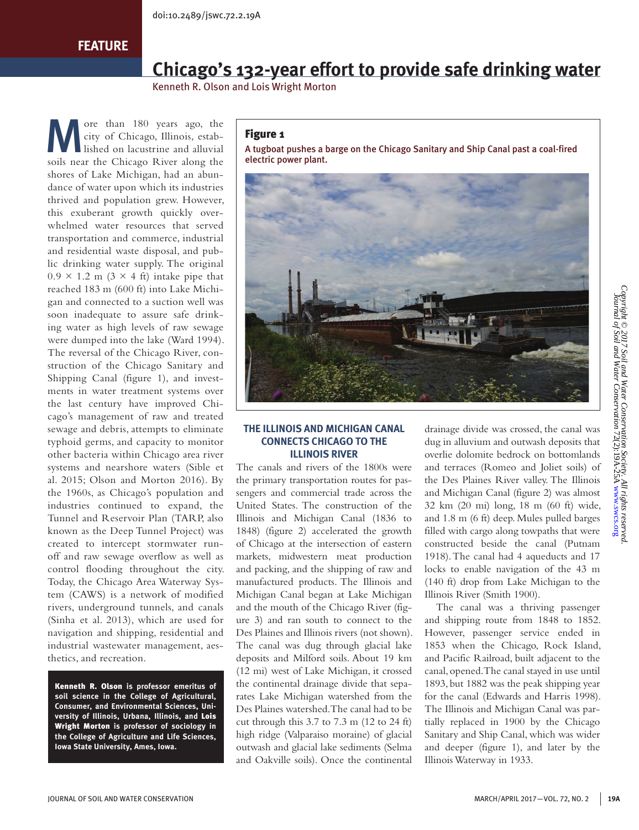# **Chicago's 132-year effort to provide safe drinking water**

Kenneth R. Olson and Lois Wright Morton

ore than 180 years ago, the city of Chicago, Illinois, established on lacustrine and alluvial city of Chicago, Illinois, estabsoils near the Chicago River along the shores of Lake Michigan, had an abundance of water upon which its industries thrived and population grew. However, this exuberant growth quickly overwhelmed water resources that served transportation and commerce, industrial and residential waste disposal, and public drinking water supply. The original  $0.9 \times 1.2$  m  $(3 \times 4$  ft) intake pipe that reached 183 m (600 ft) into Lake Michigan and connected to a suction well was soon inadequate to assure safe drinking water as high levels of raw sewage were dumped into the lake (Ward 1994). The reversal of the Chicago River, construction of the Chicago Sanitary and Shipping Canal (figure 1), and investments in water treatment systems over the last century have improved Chicago's management of raw and treated sewage and debris, attempts to eliminate typhoid germs, and capacity to monitor other bacteria within Chicago area river systems and nearshore waters (Sible et al. 2015; Olson and Morton 2016). By the 1960s, as Chicago's population and industries continued to expand, the Tunnel and Reservoir Plan (TARP, also known as the Deep Tunnel Project) was created to intercept stormwater runoff and raw sewage overflow as well as control flooding throughout the city. Today, the Chicago Area Waterway System (CAWS) is a network of modified rivers, underground tunnels, and canals (Sinha et al. 2013), which are used for navigation and shipping, residential and industrial wastewater management, aesthetics, and recreation.

Kenneth R. Olson **is professor emeritus of soil science in the College of Agricultural, Consumer, and Environmental Sciences, University of Illinois, Urbana, Illinois, and** Lois Wright Morton **is professor of sociology in the College of Agriculture and Life Sciences, Iowa State University, Ames, Iowa.** 

#### Figure 1

A tugboat pushes a barge on the Chicago Sanitary and Ship Canal past a coal-fired electric power plant.



## **THE ILLINOIS AND MICHIGAN CANAL CONNECTS CHICAGO TO THE ILLINOIS RIVER**

The canals and rivers of the 1800s were the primary transportation routes for passengers and commercial trade across the United States. The construction of the Illinois and Michigan Canal (1836 to 1848) (figure 2) accelerated the growth of Chicago at the intersection of eastern markets, midwestern meat production and packing, and the shipping of raw and manufactured products. The Illinois and Michigan Canal began at Lake Michigan and the mouth of the Chicago River (figure 3) and ran south to connect to the Des Plaines and Illinois rivers (not shown). The canal was dug through glacial lake deposits and Milford soils. About 19 km (12 mi) west of Lake Michigan, it crossed the continental drainage divide that separates Lake Michigan watershed from the Des Plaines watershed. The canal had to be cut through this 3.7 to 7.3 m (12 to 24 ft) high ridge (Valparaiso moraine) of glacial outwash and glacial lake sediments (Selma and Oakville soils). Once the continental drainage divide was crossed, the canal was dug in alluvium and outwash deposits that overlie dolomite bedrock on bottomlands and terraces (Romeo and Joliet soils) of the Des Plaines River valley. The Illinois and Michigan Canal (figure 2) was almost 32 km (20 mi) long, 18 m (60 ft) wide, and 1.8 m (6 ft) deep. Mules pulled barges filled with cargo along towpaths that were constructed beside the canal (Putnam 1918). The canal had 4 aqueducts and 17 locks to enable navigation of the 43 m (140 ft) drop from Lake Michigan to the Illinois River (Smith 1900).

The canal was a thriving passenger and shipping route from 1848 to 1852. However, passenger service ended in 1853 when the Chicago, Rock Island, and Pacific Railroad, built adjacent to the canal, opened. The canal stayed in use until 1893, but 1882 was the peak shipping year for the canal (Edwards and Harris 1998). The Illinois and Michigan Canal was partially replaced in 1900 by the Chicago Sanitary and Ship Canal, which was wider and deeper (figure 1), and later by the Illinois Waterway in 1933.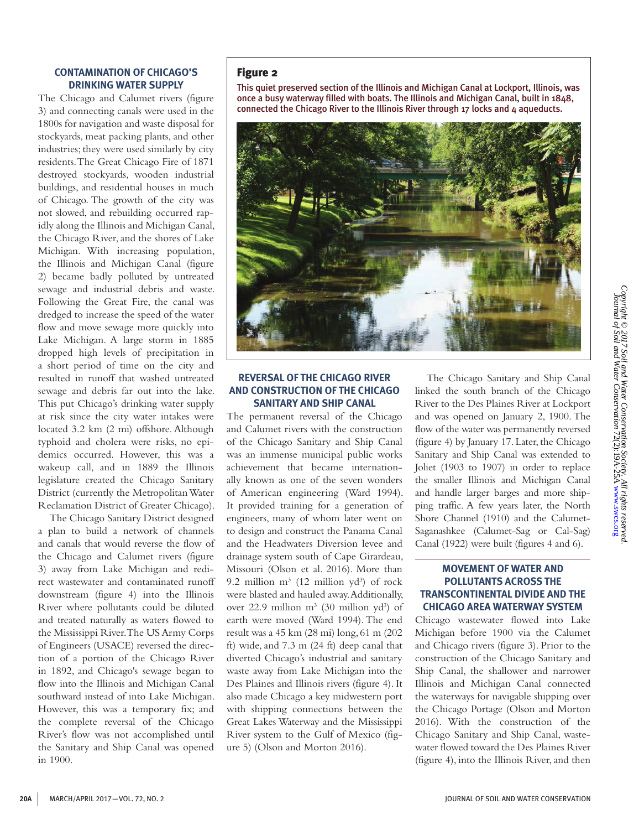#### **CONTAMINATION OF CHICAGO'S DRINKING WATER SUPPLY**

The Chicago and Calumet rivers (figure 3) and connecting canals were used in the 1800s for navigation and waste disposal for stockyards, meat packing plants, and other industries; they were used similarly by city residents. The Great Chicago Fire of 1871 destroyed stockyards, wooden industrial buildings, and residential houses in much of Chicago. The growth of the city was not slowed, and rebuilding occurred rapidly along the Illinois and Michigan Canal, the Chicago River, and the shores of Lake Michigan. With increasing population, the Illinois and Michigan Canal (figure 2) became badly polluted by untreated sewage and industrial debris and waste. Following the Great Fire, the canal was dredged to increase the speed of the water flow and move sewage more quickly into Lake Michigan. A large storm in 1885 dropped high levels of precipitation in a short period of time on the city and resulted in runoff that washed untreated sewage and debris far out into the lake. This put Chicago's drinking water supply at risk since the city water intakes were located 3.2 km (2 mi) offshore. Although typhoid and cholera were risks, no epidemics occurred. However, this was a wakeup call, and in 1889 the Illinois legislature created the Chicago Sanitary District (currently the Metropolitan Water Reclamation District of Greater Chicago).

The Chicago Sanitary District designed a plan to build a network of channels and canals that would reverse the flow of the Chicago and Calumet rivers (figure 3) away from Lake Michigan and redirect wastewater and contaminated runoff downstream (figure 4) into the Illinois River where pollutants could be diluted and treated naturally as waters flowed to the Mississippi River. The US Army Corps of Engineers (USACE) reversed the direction of a portion of the Chicago River in 1892, and Chicago's sewage began to flow into the Illinois and Michigan Canal southward instead of into Lake Michigan. However, this was a temporary fix; and the complete reversal of the Chicago River's flow was not accomplished until the Sanitary and Ship Canal was opened in 1900.

#### Figure 2

This quiet preserved section of the Illinois and Michigan Canal at Lockport, Illinois, was once a busy waterway filled with boats. The Illinois and Michigan Canal, built in 1848, connected the Chicago River to the Illinois River through 17 locks and 4 aqueducts.



#### **REVERSAL OF THE CHICAGO RIVER AND CONSTRUCTION OF THE CHICAGO SANITARY AND SHIP CANAL**

The permanent reversal of the Chicago and Calumet rivers with the construction of the Chicago Sanitary and Ship Canal was an immense municipal public works achievement that became internationally known as one of the seven wonders of American engineering (Ward 1994). It provided training for a generation of engineers, many of whom later went on to design and construct the Panama Canal and the Headwaters Diversion levee and drainage system south of Cape Girardeau, Missouri (Olson et al. 2016). More than 9.2 million  $m^3$  (12 million  $yd^3$ ) of rock were blasted and hauled away. Additionally, over 22.9 million  $m^3$  (30 million  $yd^3$ ) of earth were moved (Ward 1994). The end result was a 45 km (28 mi) long, 61 m (202 ft) wide, and 7.3 m (24 ft) deep canal that diverted Chicago's industrial and sanitary waste away from Lake Michigan into the Des Plaines and Illinois rivers (figure 4). It also made Chicago a key midwestern port with shipping connections between the Great Lakes Waterway and the Mississippi River system to the Gulf of Mexico (figure 5) (Olson and Morton 2016).

The Chicago Sanitary and Ship Canal linked the south branch of the Chicago River to the Des Plaines River at Lockport and was opened on January 2, 1900. The flow of the water was permanently reversed (figure 4) by January 17. Later, the Chicago Sanitary and Ship Canal was extended to Joliet (1903 to 1907) in order to replace the smaller Illinois and Michigan Canal and handle larger barges and more shipping traffic. A few years later, the North Shore Channel (1910) and the Calumet-Saganashkee (Calumet-Sag or Cal-Sag) Canal (1922) were built (figures 4 and 6).

### **MOVEMENT OF WATER AND POLLUTANTS ACROSS THE TRANSCONTINENTAL DIVIDE AND THE CHICAGO AREA WATERWAY SYSTEM**

Chicago wastewater flowed into Lake Michigan before 1900 via the Calumet and Chicago rivers (figure 3). Prior to the construction of the Chicago Sanitary and Ship Canal, the shallower and narrower Illinois and Michigan Canal connected the waterways for navigable shipping over the Chicago Portage (Olson and Morton 2016). With the construction of the Chicago Sanitary and Ship Canal, wastewater flowed toward the Des Plaines River (figure 4), into the Illinois River, and then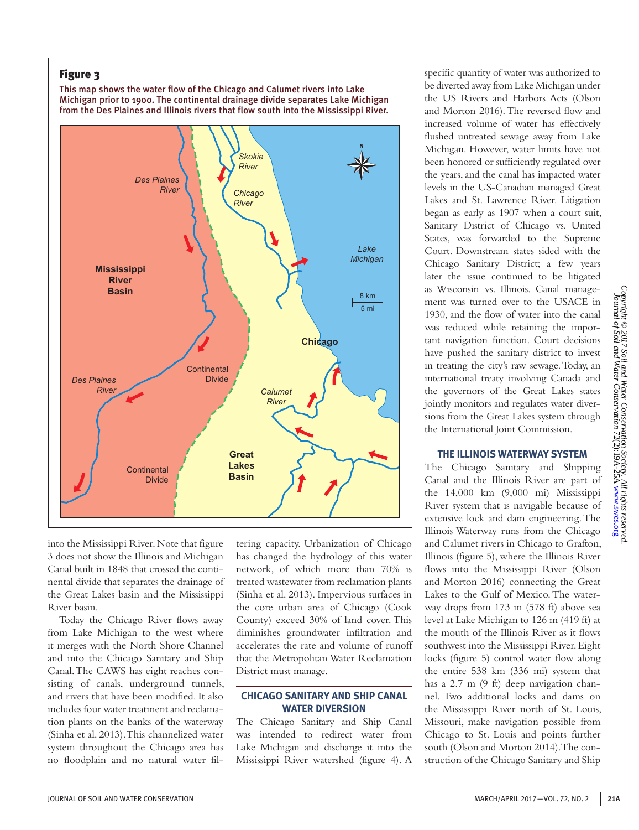## Figure 3

This map shows the water flow of the Chicago and Calumet rivers into Lake Michigan prior to 1900. The continental drainage divide separates Lake Michigan from the Des Plaines and Illinois rivers that flow south into the Mississippi River.



into the Mississippi River. Note that figure 3 does not show the Illinois and Michigan Canal built in 1848 that crossed the continental divide that separates the drainage of the Great Lakes basin and the Mississippi River basin.

Today the Chicago River flows away from Lake Michigan to the west where it merges with the North Shore Channel and into the Chicago Sanitary and Ship Canal. The CAWS has eight reaches consisting of canals, underground tunnels, and rivers that have been modified. It also includes four water treatment and reclamation plants on the banks of the waterway (Sinha et al. 2013). This channelized water system throughout the Chicago area has no floodplain and no natural water filtering capacity. Urbanization of Chicago has changed the hydrology of this water network, of which more than 70% is treated wastewater from reclamation plants (Sinha et al. 2013). Impervious surfaces in the core urban area of Chicago (Cook County) exceed 30% of land cover. This diminishes groundwater infiltration and accelerates the rate and volume of runoff that the Metropolitan Water Reclamation District must manage.

#### **CHICAGO SANITARY AND SHIP CANAL WATER DIVERSION**

The Chicago Sanitary and Ship Canal was intended to redirect water from Lake Michigan and discharge it into the Mississippi River watershed (figure 4). A

specific quantity of water was authorized to be diverted away from Lake Michigan under the US Rivers and Harbors Acts (Olson and Morton 2016). The reversed flow and increased volume of water has effectively flushed untreated sewage away from Lake Michigan. However, water limits have not been honored or sufficiently regulated over the years, and the canal has impacted water levels in the US-Canadian managed Great Lakes and St. Lawrence River. Litigation began as early as 1907 when a court suit, Sanitary District of Chicago vs. United States, was forwarded to the Supreme Court. Downstream states sided with the Chicago Sanitary District; a few years later the issue continued to be litigated as Wisconsin vs. Illinois. Canal management was turned over to the USACE in 1930, and the flow of water into the canal was reduced while retaining the important navigation function. Court decisions have pushed the sanitary district to invest in treating the city's raw sewage. Today, an international treaty involving Canada and the governors of the Great Lakes states jointly monitors and regulates water diversions from the Great Lakes system through the International Joint Commission.

### **THE ILLINOIS WATERWAY SYSTEM**

The Chicago Sanitary and Shipping Canal and the Illinois River are part of the 14,000 km (9,000 mi) Mississippi River system that is navigable because of extensive lock and dam engineering. The Illinois Waterway runs from the Chicago and Calumet rivers in Chicago to Grafton, Illinois (figure 5), where the Illinois River flows into the Mississippi River (Olson and Morton 2016) connecting the Great Lakes to the Gulf of Mexico. The waterway drops from 173 m (578 ft) above sea level at Lake Michigan to 126 m (419 ft) at the mouth of the Illinois River as it flows southwest into the Mississippi River. Eight locks (figure 5) control water flow along the entire 538 km (336 mi) system that has a 2.7 m (9 ft) deep navigation channel. Two additional locks and dams on the Mississippi River north of St. Louis, Missouri, make navigation possible from Chicago to St. Louis and points further south (Olson and Morton 2014). The construction of the Chicago Sanitary and Ship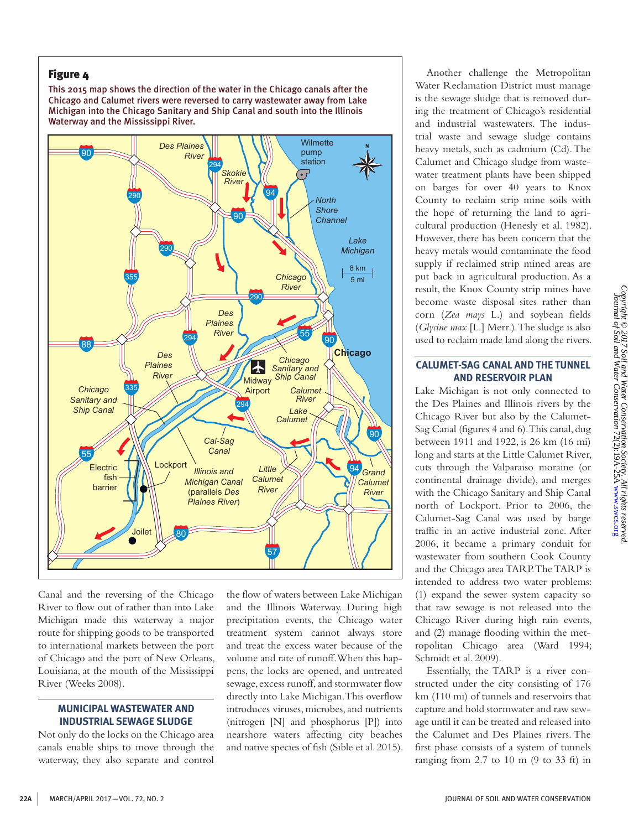## Figure 4

This 2015 map shows the direction of the water in the Chicago canals after the Chicago and Calumet rivers were reversed to carry wastewater away from Lake Michigan into the Chicago Sanitary and Ship Canal and south into the Illinois Waterway and the Mississippi River.



Canal and the reversing of the Chicago River to flow out of rather than into Lake Michigan made this waterway a major route for shipping goods to be transported to international markets between the port of Chicago and the port of New Orleans, Louisiana, at the mouth of the Mississippi River (Weeks 2008).

## **MUNICIPAL WASTEWATER AND INDUSTRIAL SEWAGE SLUDGE**

Not only do the locks on the Chicago area canals enable ships to move through the waterway, they also separate and control the flow of waters between Lake Michigan and the Illinois Waterway. During high precipitation events, the Chicago water treatment system cannot always store and treat the excess water because of the volume and rate of runoff. When this happens, the locks are opened, and untreated sewage, excess runoff, and stormwater flow directly into Lake Michigan. This overflow introduces viruses, microbes, and nutrients (nitrogen [N] and phosphorus [P]) into nearshore waters affecting city beaches and native species of fish (Sible et al. 2015).

Another challenge the Metropolitan Water Reclamation District must manage is the sewage sludge that is removed during the treatment of Chicago's residential and industrial wastewaters. The industrial waste and sewage sludge contains heavy metals, such as cadmium (Cd). The Calumet and Chicago sludge from wastewater treatment plants have been shipped on barges for over 40 years to Knox County to reclaim strip mine soils with the hope of returning the land to agricultural production (Henesly et al. 1982). However, there has been concern that the heavy metals would contaminate the food supply if reclaimed strip mined areas are put back in agricultural production. As a result, the Knox County strip mines have become waste disposal sites rather than corn (*Zea mays* L.) and soybean fields (*Glycine max* [L.] Merr.). The sludge is also used to reclaim made land along the rivers.

#### **CALUMET-SAG CANAL AND THE TUNNEL AND RESERVOIR PLAN**

Lake Michigan is not only connected to the Des Plaines and Illinois rivers by the Chicago River but also by the Calumet-Sag Canal (figures 4 and 6). This canal, dug between 1911 and 1922, is 26 km (16 mi) long and starts at the Little Calumet River, cuts through the Valparaiso moraine (or continental drainage divide), and merges with the Chicago Sanitary and Ship Canal north of Lockport. Prior to 2006, the Calumet-Sag Canal was used by barge traffic in an active industrial zone. After 2006, it became a primary conduit for wastewater from southern Cook County and the Chicago area TARP. The TARP is intended to address two water problems: (1) expand the sewer system capacity so that raw sewage is not released into the Chicago River during high rain events, and (2) manage flooding within the metropolitan Chicago area (Ward 1994; Schmidt et al. 2009).

Essentially, the TARP is a river constructed under the city consisting of 176 km (110 mi) of tunnels and reservoirs that capture and hold stormwater and raw sewage until it can be treated and released into the Calumet and Des Plaines rivers. The first phase consists of a system of tunnels ranging from 2.7 to 10 m (9 to 33 ft) in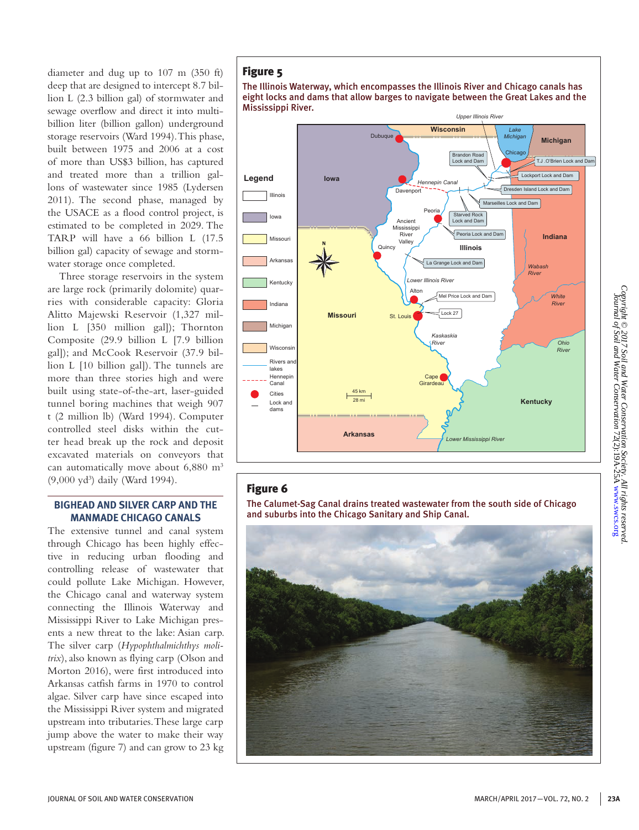diameter and dug up to 107 m (350 ft) deep that are designed to intercept 8.7 billion L (2.3 billion gal) of stormwater and sewage overflow and direct it into multibillion liter (billion gallon) underground storage reservoirs (Ward 1994). This phase, built between 1975 and 2006 at a cost of more than US\$3 billion, has captured and treated more than a trillion gallons of wastewater since 1985 (Lydersen 2011). The second phase, managed by the USACE as a flood control project, is estimated to be completed in 2029. The TARP will have a 66 billion L (17.5 billion gal) capacity of sewage and stormwater storage once completed.

Three storage reservoirs in the system are large rock (primarily dolomite) quarries with considerable capacity: Gloria Alitto Majewski Reservoir (1,327 million L [350 million gal]); Thornton Composite (29.9 billion L [7.9 billion gal]); and McCook Reservoir (37.9 billion L [10 billion gal]). The tunnels are more than three stories high and were built using state-of-the-art, laser-guided tunnel boring machines that weigh 907 t (2 million lb) (Ward 1994). Computer controlled steel disks within the cutter head break up the rock and deposit excavated materials on conveyors that can automatically move about 6,880 m<sup>3</sup> (9,000 yd3 ) daily (Ward 1994).

#### **BIGHEAD AND SILVER CARP AND THE MANMADE CHICAGO CANALS**

The extensive tunnel and canal system through Chicago has been highly effective in reducing urban flooding and controlling release of wastewater that could pollute Lake Michigan. However, the Chicago canal and waterway system connecting the Illinois Waterway and Mississippi River to Lake Michigan presents a new threat to the lake: Asian carp. The silver carp (*Hypophthalmichthys molitrix*), also known as flying carp (Olson and Morton 2016), were first introduced into Arkansas catfish farms in 1970 to control algae. Silver carp have since escaped into the Mississippi River system and migrated upstream into tributaries. These large carp jump above the water to make their way upstream (figure 7) and can grow to 23 kg

## Figure 5





## Figure 6

The Calumet-Sag Canal drains treated wastewater from the south side of Chicago and suburbs into the Chicago Sanitary and Ship Canal.

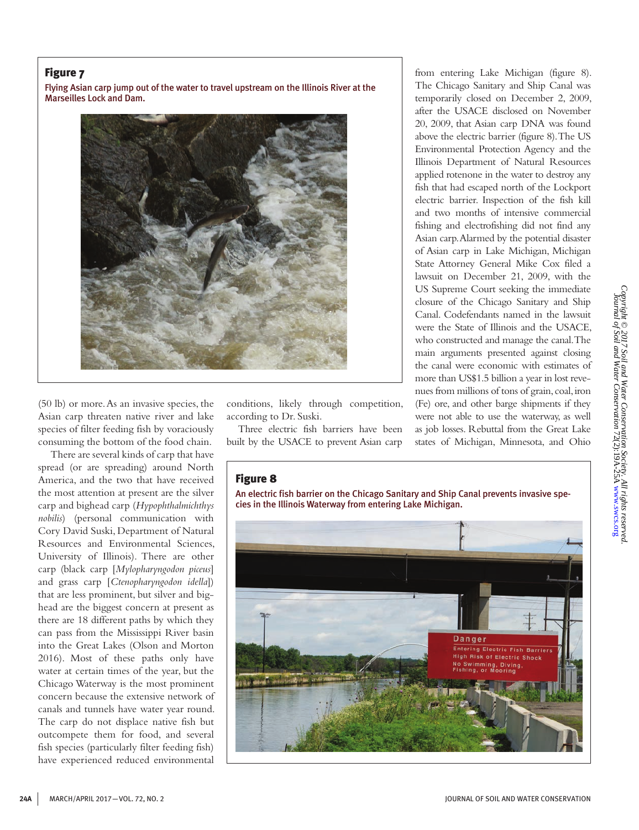## Figure 7

Flying Asian carp jump out of the water to travel upstream on the Illinois River at the Marseilles Lock and Dam.



(50 lb) or more. As an invasive species, the Asian carp threaten native river and lake species of filter feeding fish by voraciously consuming the bottom of the food chain.

 There are several kinds of carp that have spread (or are spreading) around North America, and the two that have received the most attention at present are the silver carp and bighead carp (*Hypophthalmichthys nobilis*) (personal communication with Cory David Suski, Department of Natural Resources and Environmental Sciences, University of Illinois). There are other carp (black carp [*Mylopharyngodon piceus*] and grass carp [*Ctenopharyngodon idella*]) that are less prominent, but silver and bighead are the biggest concern at present as there are 18 different paths by which they can pass from the Mississippi River basin into the Great Lakes (Olson and Morton 2016). Most of these paths only have water at certain times of the year, but the Chicago Waterway is the most prominent concern because the extensive network of canals and tunnels have water year round. The carp do not displace native fish but outcompete them for food, and several fish species (particularly filter feeding fish) have experienced reduced environmental

conditions, likely through competition, according to Dr. Suski.

Three electric fish barriers have been built by the USACE to prevent Asian carp from entering Lake Michigan (figure 8). The Chicago Sanitary and Ship Canal was temporarily closed on December 2, 2009, after the USACE disclosed on November 20, 2009, that Asian carp DNA was found above the electric barrier (figure 8). The US Environmental Protection Agency and the Illinois Department of Natural Resources applied rotenone in the water to destroy any fish that had escaped north of the Lockport electric barrier. Inspection of the fish kill and two months of intensive commercial fishing and electrofishing did not find any Asian carp. Alarmed by the potential disaster of Asian carp in Lake Michigan, Michigan State Attorney General Mike Cox filed a lawsuit on December 21, 2009, with the US Supreme Court seeking the immediate closure of the Chicago Sanitary and Ship Canal. Codefendants named in the lawsuit were the State of Illinois and the USACE, who constructed and manage the canal. The main arguments presented against closing the canal were economic with estimates of more than US\$1.5 billion a year in lost revenues from millions of tons of grain, coal, iron (Fe) ore, and other barge shipments if they were not able to use the waterway, as well as job losses. Rebuttal from the Great Lake states of Michigan, Minnesota, and Ohio

## Figure 8

An electric fish barrier on the Chicago Sanitary and Ship Canal prevents invasive species in the Illinois Waterway from entering Lake Michigan.